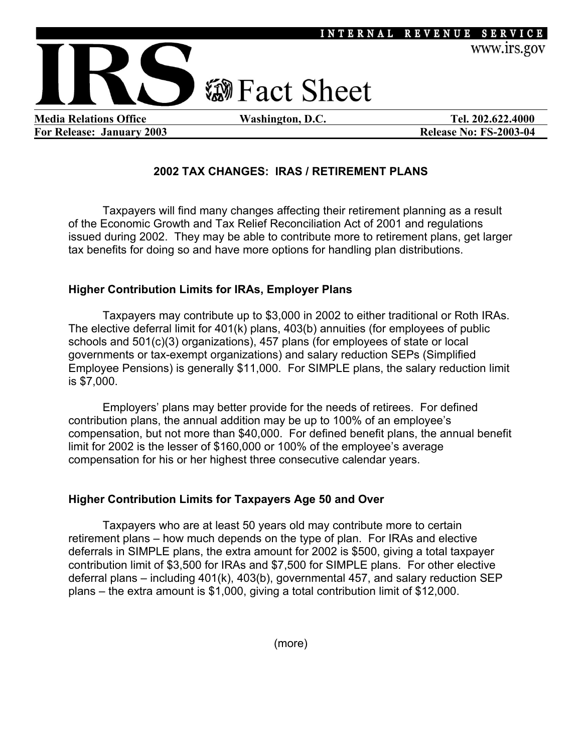

For Release: January 2003 **Release No: FS-2003-04** Release No: FS-2003-04

# **2002 TAX CHANGES: IRAS / RETIREMENT PLANS**

Taxpayers will find many changes affecting their retirement planning as a result of the Economic Growth and Tax Relief Reconciliation Act of 2001 and regulations issued during 2002. They may be able to contribute more to retirement plans, get larger tax benefits for doing so and have more options for handling plan distributions.

## **Higher Contribution Limits for IRAs, Employer Plans**

Taxpayers may contribute up to \$3,000 in 2002 to either traditional or Roth IRAs. The elective deferral limit for 401(k) plans, 403(b) annuities (for employees of public schools and 501(c)(3) organizations), 457 plans (for employees of state or local governments or tax-exempt organizations) and salary reduction SEPs (Simplified Employee Pensions) is generally \$11,000. For SIMPLE plans, the salary reduction limit is \$7,000.

Employers' plans may better provide for the needs of retirees. For defined contribution plans, the annual addition may be up to 100% of an employee's compensation, but not more than \$40,000. For defined benefit plans, the annual benefit limit for 2002 is the lesser of \$160,000 or 100% of the employee's average compensation for his or her highest three consecutive calendar years.

### **Higher Contribution Limits for Taxpayers Age 50 and Over**

Taxpayers who are at least 50 years old may contribute more to certain retirement plans – how much depends on the type of plan. For IRAs and elective deferrals in SIMPLE plans, the extra amount for 2002 is \$500, giving a total taxpayer contribution limit of \$3,500 for IRAs and \$7,500 for SIMPLE plans. For other elective deferral plans – including 401(k), 403(b), governmental 457, and salary reduction SEP plans – the extra amount is \$1,000, giving a total contribution limit of \$12,000.

(more)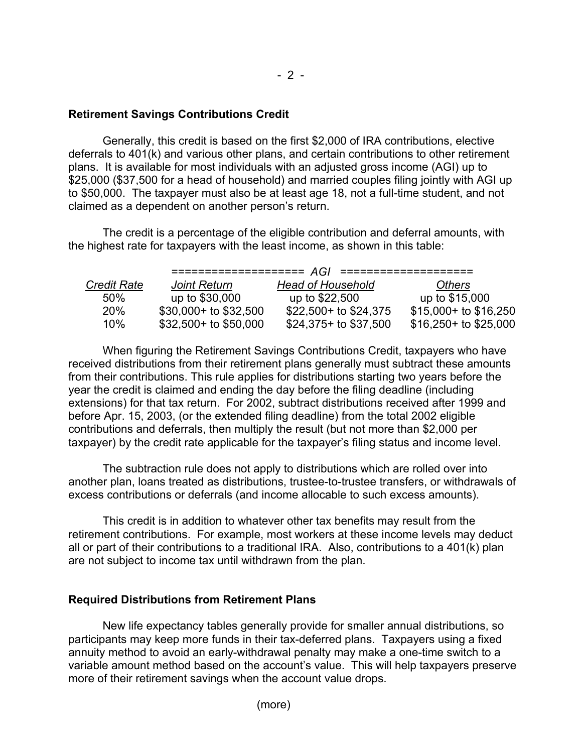# **Retirement Savings Contributions Credit**

Generally, this credit is based on the first \$2,000 of IRA contributions, elective deferrals to 401(k) and various other plans, and certain contributions to other retirement plans. It is available for most individuals with an adjusted gross income (AGI) up to \$25,000 (\$37,500 for a head of household) and married couples filing jointly with AGI up to \$50,000. The taxpayer must also be at least age 18, not a full-time student, and not claimed as a dependent on another person's return.

The credit is a percentage of the eligible contribution and deferral amounts, with the highest rate for taxpayers with the least income, as shown in this table:

| <b>Credit Rate</b> | <b>Joint Return</b>   | <b>Head of Household</b> | <b>Others</b>           |
|--------------------|-----------------------|--------------------------|-------------------------|
| 50%                | up to \$30,000        | up to \$22,500           | up to \$15,000          |
| <b>20%</b>         | \$30,000+ to \$32,500 | $$22,500+$ to $$24,375$  | \$15,000+ to \$16,250   |
| 10%                | \$32,500+ to \$50,000 | $$24,375+$ to \$37,500   | $$16,250+$ to $$25,000$ |

 When figuring the Retirement Savings Contributions Credit, taxpayers who have received distributions from their retirement plans generally must subtract these amounts from their contributions. This rule applies for distributions starting two years before the year the credit is claimed and ending the day before the filing deadline (including extensions) for that tax return. For 2002, subtract distributions received after 1999 and before Apr. 15, 2003, (or the extended filing deadline) from the total 2002 eligible contributions and deferrals, then multiply the result (but not more than \$2,000 per taxpayer) by the credit rate applicable for the taxpayer's filing status and income level.

The subtraction rule does not apply to distributions which are rolled over into another plan, loans treated as distributions, trustee-to-trustee transfers, or withdrawals of excess contributions or deferrals (and income allocable to such excess amounts).

This credit is in addition to whatever other tax benefits may result from the retirement contributions. For example, most workers at these income levels may deduct all or part of their contributions to a traditional IRA. Also, contributions to a 401(k) plan are not subject to income tax until withdrawn from the plan.

### **Required Distributions from Retirement Plans**

New life expectancy tables generally provide for smaller annual distributions, so participants may keep more funds in their tax-deferred plans. Taxpayers using a fixed annuity method to avoid an early-withdrawal penalty may make a one-time switch to a variable amount method based on the account's value. This will help taxpayers preserve more of their retirement savings when the account value drops.